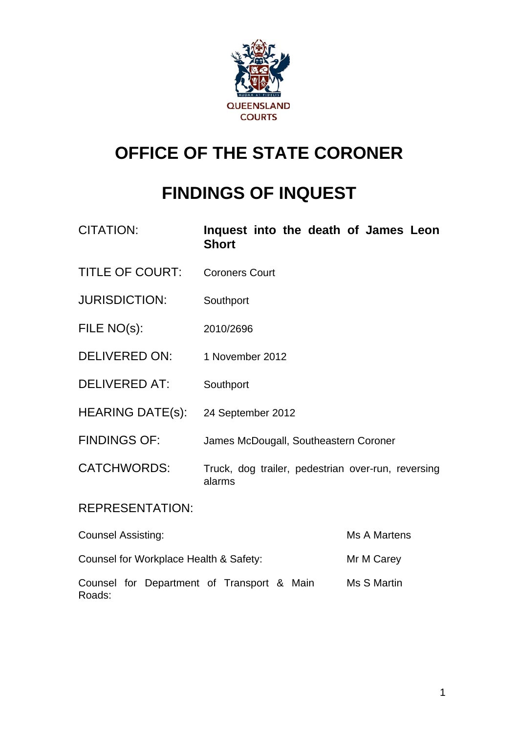

# **OFFICE OF THE STATE CORONER**

# **FINDINGS OF INQUEST**

| <b>CITATION:</b>                           | Inquest into the death of James Leon<br><b>Short</b>         |              |
|--------------------------------------------|--------------------------------------------------------------|--------------|
| <b>TITLE OF COURT:</b>                     | <b>Coroners Court</b>                                        |              |
| <b>JURISDICTION:</b>                       | Southport                                                    |              |
| FILE NO(s):                                | 2010/2696                                                    |              |
| DELIVERED ON:                              | 1 November 2012                                              |              |
| <b>DELIVERED AT:</b>                       | Southport                                                    |              |
| <b>HEARING DATE(s):</b>                    | 24 September 2012                                            |              |
| <b>FINDINGS OF:</b>                        | James McDougall, Southeastern Coroner                        |              |
| <b>CATCHWORDS:</b>                         | Truck, dog trailer, pedestrian over-run, reversing<br>alarms |              |
| <b>REPRESENTATION:</b>                     |                                                              |              |
| <b>Counsel Assisting:</b>                  |                                                              | Ms A Martens |
| Counsel for Workplace Health & Safety:     |                                                              | Mr M Carey   |
| Counsel for Department of Transport & Main |                                                              | Ms S Martin  |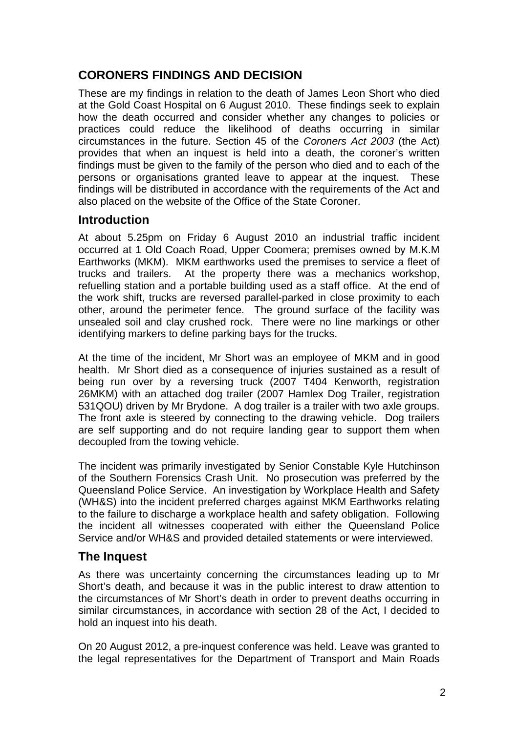# **CORONERS FINDINGS AND DECISION**

These are my findings in relation to the death of James Leon Short who died at the Gold Coast Hospital on 6 August 2010. These findings seek to explain how the death occurred and consider whether any changes to policies or practices could reduce the likelihood of deaths occurring in similar circumstances in the future. Section 45 of the *Coroners Act 2003* (the Act) provides that when an inquest is held into a death, the coroner's written findings must be given to the family of the person who died and to each of the persons or organisations granted leave to appear at the inquest. These findings will be distributed in accordance with the requirements of the Act and also placed on the website of the Office of the State Coroner.

## **Introduction**

At about 5.25pm on Friday 6 August 2010 an industrial traffic incident occurred at 1 Old Coach Road, Upper Coomera; premises owned by M.K.M Earthworks (MKM). MKM earthworks used the premises to service a fleet of trucks and trailers. At the property there was a mechanics workshop, refuelling station and a portable building used as a staff office. At the end of the work shift, trucks are reversed parallel-parked in close proximity to each other, around the perimeter fence. The ground surface of the facility was unsealed soil and clay crushed rock. There were no line markings or other identifying markers to define parking bays for the trucks.

At the time of the incident, Mr Short was an employee of MKM and in good health. Mr Short died as a consequence of injuries sustained as a result of being run over by a reversing truck (2007 T404 Kenworth, registration 26MKM) with an attached dog trailer (2007 Hamlex Dog Trailer, registration 531QOU) driven by Mr Brydone. A dog trailer is a trailer with two axle groups. The front axle is steered by connecting to the drawing vehicle. Dog trailers are self supporting and do not require landing gear to support them when decoupled from the towing vehicle.

The incident was primarily investigated by Senior Constable Kyle Hutchinson of the Southern Forensics Crash Unit. No prosecution was preferred by the Queensland Police Service. An investigation by Workplace Health and Safety (WH&S) into the incident preferred charges against MKM Earthworks relating to the failure to discharge a workplace health and safety obligation. Following the incident all witnesses cooperated with either the Queensland Police Service and/or WH&S and provided detailed statements or were interviewed.

### **The Inquest**

As there was uncertainty concerning the circumstances leading up to Mr Short's death, and because it was in the public interest to draw attention to the circumstances of Mr Short's death in order to prevent deaths occurring in similar circumstances, in accordance with section 28 of the Act, I decided to hold an inquest into his death.

On 20 August 2012, a pre-inquest conference was held. Leave was granted to the legal representatives for the Department of Transport and Main Roads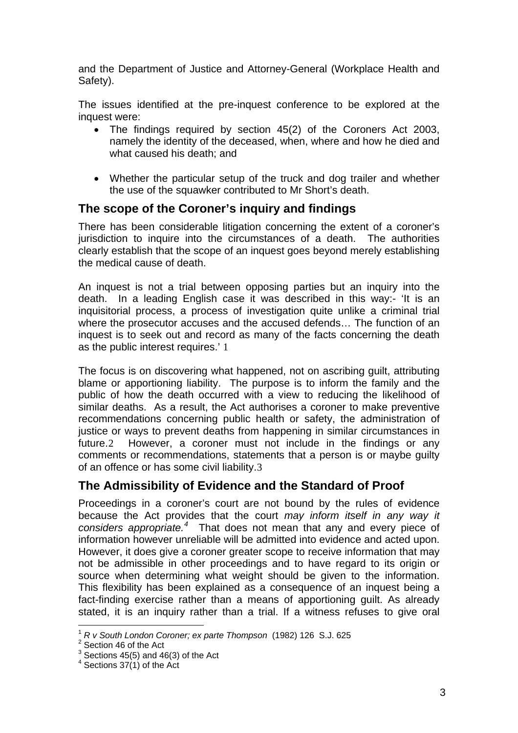and the Department of Justice and Attorney-General (Workplace Health and Safety).

The issues identified at the pre-inquest conference to be explored at the inquest were:

- The findings required by section 45(2) of the Coroners Act 2003, namely the identity of the deceased, when, where and how he died and what caused his death; and
- Whether the particular setup of the truck and dog trailer and whether the use of the squawker contributed to Mr Short's death.

## **The scope of the Coroner's inquiry and findings**

There has been considerable litigation concerning the extent of a coroner's jurisdiction to inquire into the circumstances of a death. The authorities clearly establish that the scope of an inquest goes beyond merely establishing the medical cause of death.

An inquest is not a trial between opposing parties but an inquiry into the death. In a leading English case it was described in this way:- 'It is an inquisitorial process, a process of investigation quite unlike a criminal trial where the prosecutor accuses and the accused defends… The function of an inquest is to seek out and record as many of the facts concerning the death as the public interest requires.' [1](#page-2-0)

The focus is on discovering what happened, not on ascribing guilt, attributing blame or apportioning liability. The purpose is to inform the family and the public of how the death occurred with a view to reducing the likelihood of similar deaths. As a result, the Act authorises a coroner to make preventive recommendations concerning public health or safety, the administration of justice or ways to prevent deaths from happening in similar circumstances in future.[2](#page-2-1) However, a coroner must not include in the findings or any comments or recommendations, statements that a person is or maybe guilty of an offence or has some civil liability.[3](#page-2-2)

# **The Admissibility of Evidence and the Standard of Proof**

Proceedings in a coroner's court are not bound by the rules of evidence because the Act provides that the court *may inform itself in any way it*  considers appropriate.<sup>[4](#page-2-3)</sup> That does not mean that any and every piece of information however unreliable will be admitted into evidence and acted upon. However, it does give a coroner greater scope to receive information that may not be admissible in other proceedings and to have regard to its origin or source when determining what weight should be given to the information. This flexibility has been explained as a consequence of an inquest being a fact-finding exercise rather than a means of apportioning guilt. As already stated, it is an inquiry rather than a trial. If a witness refuses to give oral

 $\overline{a}$ 

<sup>1</sup> *R v South London Coroner; ex parte Thompson* (1982) 126 S.J. 625 <sup>2</sup>

<span id="page-2-2"></span><span id="page-2-1"></span><span id="page-2-0"></span> $2$  Section 46 of the Act

 $3$  Sections 45(5) and 46(3) of the Act

<span id="page-2-3"></span> $4$  Sections 37(1) of the Act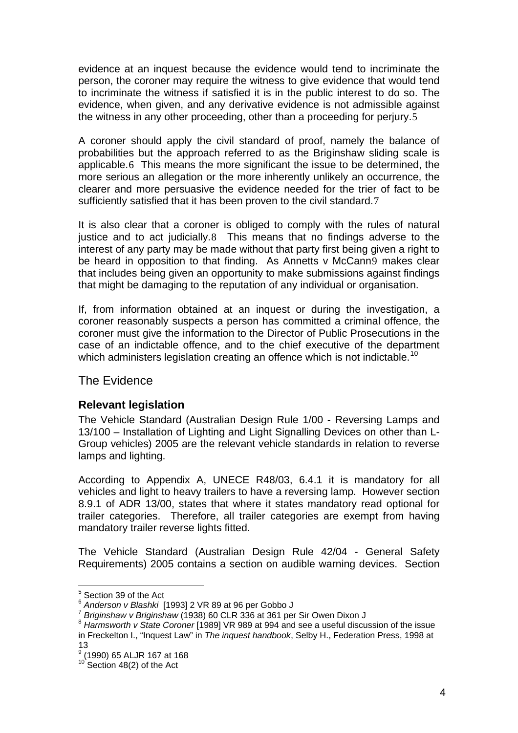evidence at an inquest because the evidence would tend to incriminate the person, the coroner may require the witness to give evidence that would tend to incriminate the witness if satisfied it is in the public interest to do so. The evidence, when given, and any derivative evidence is not admissible against the witness in any other proceeding, other than a proceeding for perjury.[5](#page-3-0)

A coroner should apply the civil standard of proof, namely the balance of probabilities but the approach referred to as the Briginshaw sliding scale is applicable.[6](#page-3-1) This means the more significant the issue to be determined, the more serious an allegation or the more inherently unlikely an occurrence, the clearer and more persuasive the evidence needed for the trier of fact to be sufficiently satisfied that it has been proven to the civil standard.[7](#page-3-2)

It is also clear that a coroner is obliged to comply with the rules of natural justice and to act judicially.[8](#page-3-3) This means that no findings adverse to the interest of any party may be made without that party first being given a right to be heard in opposition to that finding. As Annetts v McCann[9](#page-3-4) makes clear that includes being given an opportunity to make submissions against findings that might be damaging to the reputation of any individual or organisation.

If, from information obtained at an inquest or during the investigation, a coroner reasonably suspects a person has committed a criminal offence, the coroner must give the information to the Director of Public Prosecutions in the case of an indictable offence, and to the chief executive of the department which administers legislation creating an offence which is not indictable.<sup>[10](#page-3-5)</sup>

#### The Evidence

#### **Relevant legislation**

The Vehicle Standard (Australian Design Rule 1/00 - Reversing Lamps and 13/100 – Installation of Lighting and Light Signalling Devices on other than L-Group vehicles) 2005 are the relevant vehicle standards in relation to reverse lamps and lighting.

According to Appendix A, UNECE R48/03, 6.4.1 it is mandatory for all vehicles and light to heavy trailers to have a reversing lamp. However section 8.9.1 of ADR 13/00, states that where it states mandatory read optional for trailer categories. Therefore, all trailer categories are exempt from having mandatory trailer reverse lights fitted.

The Vehicle Standard (Australian Design Rule 42/04 - General Safety Requirements) 2005 contains a section on audible warning devices. Section

 5 Section 39 of the Act

<span id="page-3-3"></span><span id="page-3-2"></span>

<span id="page-3-1"></span><span id="page-3-0"></span><sup>&</sup>lt;sup>6</sup> Anderson v Blashki [1993] 2 VR 89 at 96 per Gobbo J<br><sup>7</sup> Briginshaw v Briginshaw (1938) 60 CLR 336 at 361 per Sir Owen Dixon J<br><sup>8</sup> Harmsworth v State Coroner [1989] VR 989 at 994 and see a useful discussion of the issue in Freckelton I., "Inquest Law" in *The inquest handbook*, Selby H., Federation Press, 1998 at 13

<span id="page-3-5"></span><span id="page-3-4"></span><sup>9</sup> (1990) 65 ALJR 167 at 168

 $10$  Section 48(2) of the Act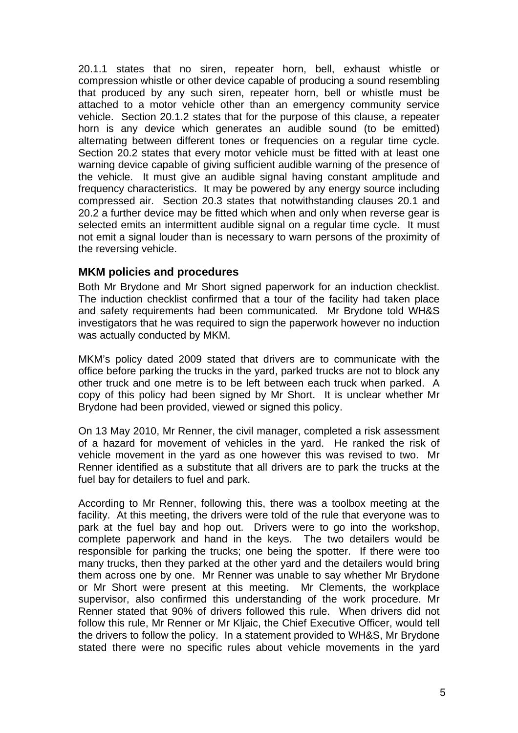20.1.1 states that no siren, repeater horn, bell, exhaust whistle or compression whistle or other device capable of producing a sound resembling that produced by any such siren, repeater horn, bell or whistle must be attached to a motor vehicle other than an emergency community service vehicle. Section 20.1.2 states that for the purpose of this clause, a repeater horn is any device which generates an audible sound (to be emitted) alternating between different tones or frequencies on a regular time cycle. Section 20.2 states that every motor vehicle must be fitted with at least one warning device capable of giving sufficient audible warning of the presence of the vehicle. It must give an audible signal having constant amplitude and frequency characteristics. It may be powered by any energy source including compressed air. Section 20.3 states that notwithstanding clauses 20.1 and 20.2 a further device may be fitted which when and only when reverse gear is selected emits an intermittent audible signal on a regular time cycle. It must not emit a signal louder than is necessary to warn persons of the proximity of the reversing vehicle.

#### **MKM policies and procedures**

Both Mr Brydone and Mr Short signed paperwork for an induction checklist. The induction checklist confirmed that a tour of the facility had taken place and safety requirements had been communicated. Mr Brydone told WH&S investigators that he was required to sign the paperwork however no induction was actually conducted by MKM.

MKM's policy dated 2009 stated that drivers are to communicate with the office before parking the trucks in the yard, parked trucks are not to block any other truck and one metre is to be left between each truck when parked. A copy of this policy had been signed by Mr Short. It is unclear whether Mr Brydone had been provided, viewed or signed this policy.

On 13 May 2010, Mr Renner, the civil manager, completed a risk assessment of a hazard for movement of vehicles in the yard. He ranked the risk of vehicle movement in the yard as one however this was revised to two. Mr Renner identified as a substitute that all drivers are to park the trucks at the fuel bay for detailers to fuel and park.

According to Mr Renner, following this, there was a toolbox meeting at the facility. At this meeting, the drivers were told of the rule that everyone was to park at the fuel bay and hop out. Drivers were to go into the workshop, complete paperwork and hand in the keys. The two detailers would be responsible for parking the trucks; one being the spotter. If there were too many trucks, then they parked at the other yard and the detailers would bring them across one by one. Mr Renner was unable to say whether Mr Brydone or Mr Short were present at this meeting. Mr Clements, the workplace supervisor, also confirmed this understanding of the work procedure. Mr Renner stated that 90% of drivers followed this rule. When drivers did not follow this rule, Mr Renner or Mr Kljaic, the Chief Executive Officer, would tell the drivers to follow the policy. In a statement provided to WH&S, Mr Brydone stated there were no specific rules about vehicle movements in the yard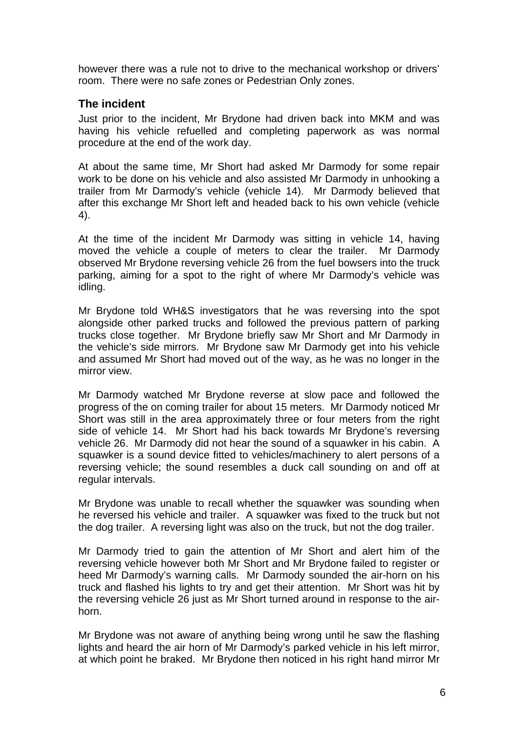however there was a rule not to drive to the mechanical workshop or drivers' room. There were no safe zones or Pedestrian Only zones.

#### **The incident**

Just prior to the incident, Mr Brydone had driven back into MKM and was having his vehicle refuelled and completing paperwork as was normal procedure at the end of the work day.

At about the same time, Mr Short had asked Mr Darmody for some repair work to be done on his vehicle and also assisted Mr Darmody in unhooking a trailer from Mr Darmody's vehicle (vehicle 14). Mr Darmody believed that after this exchange Mr Short left and headed back to his own vehicle (vehicle 4).

At the time of the incident Mr Darmody was sitting in vehicle 14, having moved the vehicle a couple of meters to clear the trailer. Mr Darmody observed Mr Brydone reversing vehicle 26 from the fuel bowsers into the truck parking, aiming for a spot to the right of where Mr Darmody's vehicle was idling.

Mr Brydone told WH&S investigators that he was reversing into the spot alongside other parked trucks and followed the previous pattern of parking trucks close together. Mr Brydone briefly saw Mr Short and Mr Darmody in the vehicle's side mirrors. Mr Brydone saw Mr Darmody get into his vehicle and assumed Mr Short had moved out of the way, as he was no longer in the mirror view.

Mr Darmody watched Mr Brydone reverse at slow pace and followed the progress of the on coming trailer for about 15 meters. Mr Darmody noticed Mr Short was still in the area approximately three or four meters from the right side of vehicle 14. Mr Short had his back towards Mr Brydone's reversing vehicle 26. Mr Darmody did not hear the sound of a squawker in his cabin. A squawker is a sound device fitted to vehicles/machinery to alert persons of a reversing vehicle; the sound resembles a duck call sounding on and off at regular intervals.

Mr Brydone was unable to recall whether the squawker was sounding when he reversed his vehicle and trailer. A squawker was fixed to the truck but not the dog trailer. A reversing light was also on the truck, but not the dog trailer.

Mr Darmody tried to gain the attention of Mr Short and alert him of the reversing vehicle however both Mr Short and Mr Brydone failed to register or heed Mr Darmody's warning calls. Mr Darmody sounded the air-horn on his truck and flashed his lights to try and get their attention. Mr Short was hit by the reversing vehicle 26 just as Mr Short turned around in response to the airhorn.

Mr Brydone was not aware of anything being wrong until he saw the flashing lights and heard the air horn of Mr Darmody's parked vehicle in his left mirror, at which point he braked. Mr Brydone then noticed in his right hand mirror Mr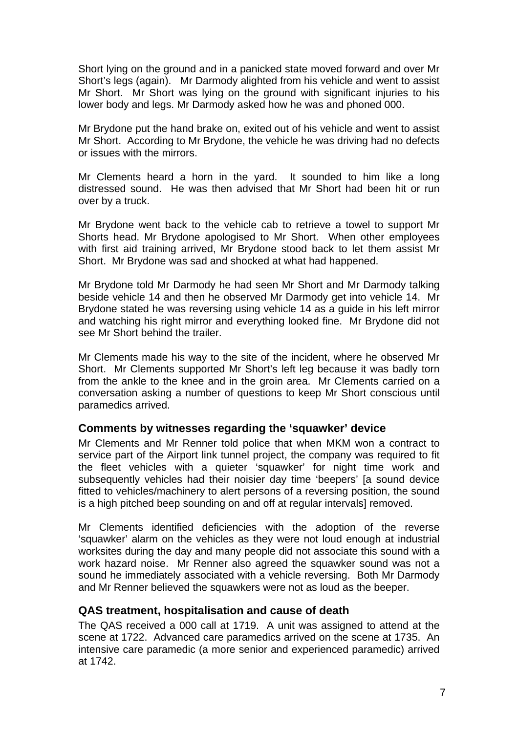Short lying on the ground and in a panicked state moved forward and over Mr Short's legs (again). Mr Darmody alighted from his vehicle and went to assist Mr Short. Mr Short was lying on the ground with significant injuries to his lower body and legs. Mr Darmody asked how he was and phoned 000.

Mr Brydone put the hand brake on, exited out of his vehicle and went to assist Mr Short. According to Mr Brydone, the vehicle he was driving had no defects or issues with the mirrors.

Mr Clements heard a horn in the yard. It sounded to him like a long distressed sound. He was then advised that Mr Short had been hit or run over by a truck.

Mr Brydone went back to the vehicle cab to retrieve a towel to support Mr Shorts head. Mr Brydone apologised to Mr Short. When other employees with first aid training arrived, Mr Brydone stood back to let them assist Mr Short. Mr Brydone was sad and shocked at what had happened.

Mr Brydone told Mr Darmody he had seen Mr Short and Mr Darmody talking beside vehicle 14 and then he observed Mr Darmody get into vehicle 14. Mr Brydone stated he was reversing using vehicle 14 as a guide in his left mirror and watching his right mirror and everything looked fine. Mr Brydone did not see Mr Short behind the trailer.

Mr Clements made his way to the site of the incident, where he observed Mr Short. Mr Clements supported Mr Short's left leg because it was badly torn from the ankle to the knee and in the groin area. Mr Clements carried on a conversation asking a number of questions to keep Mr Short conscious until paramedics arrived.

#### **Comments by witnesses regarding the 'squawker' device**

Mr Clements and Mr Renner told police that when MKM won a contract to service part of the Airport link tunnel project, the company was required to fit the fleet vehicles with a quieter 'squawker' for night time work and subsequently vehicles had their noisier day time 'beepers' [a sound device fitted to vehicles/machinery to alert persons of a reversing position, the sound is a high pitched beep sounding on and off at regular intervals] removed.

Mr Clements identified deficiencies with the adoption of the reverse 'squawker' alarm on the vehicles as they were not loud enough at industrial worksites during the day and many people did not associate this sound with a work hazard noise. Mr Renner also agreed the squawker sound was not a sound he immediately associated with a vehicle reversing. Both Mr Darmody and Mr Renner believed the squawkers were not as loud as the beeper.

#### **QAS treatment, hospitalisation and cause of death**

The QAS received a 000 call at 1719. A unit was assigned to attend at the scene at 1722. Advanced care paramedics arrived on the scene at 1735. An intensive care paramedic (a more senior and experienced paramedic) arrived at 1742.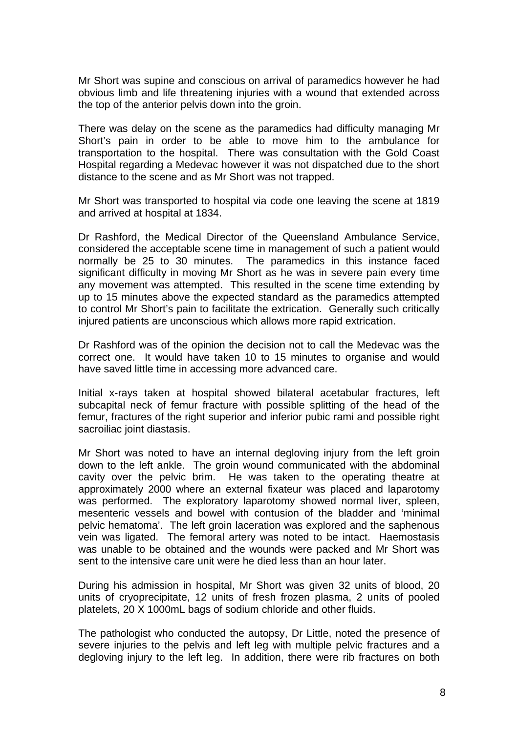Mr Short was supine and conscious on arrival of paramedics however he had obvious limb and life threatening injuries with a wound that extended across the top of the anterior pelvis down into the groin.

There was delay on the scene as the paramedics had difficulty managing Mr Short's pain in order to be able to move him to the ambulance for transportation to the hospital. There was consultation with the Gold Coast Hospital regarding a Medevac however it was not dispatched due to the short distance to the scene and as Mr Short was not trapped.

Mr Short was transported to hospital via code one leaving the scene at 1819 and arrived at hospital at 1834.

Dr Rashford, the Medical Director of the Queensland Ambulance Service, considered the acceptable scene time in management of such a patient would normally be 25 to 30 minutes. The paramedics in this instance faced significant difficulty in moving Mr Short as he was in severe pain every time any movement was attempted. This resulted in the scene time extending by up to 15 minutes above the expected standard as the paramedics attempted to control Mr Short's pain to facilitate the extrication. Generally such critically injured patients are unconscious which allows more rapid extrication.

Dr Rashford was of the opinion the decision not to call the Medevac was the correct one. It would have taken 10 to 15 minutes to organise and would have saved little time in accessing more advanced care.

Initial x-rays taken at hospital showed bilateral acetabular fractures, left subcapital neck of femur fracture with possible splitting of the head of the femur, fractures of the right superior and inferior pubic rami and possible right sacroiliac joint diastasis.

Mr Short was noted to have an internal degloving injury from the left groin down to the left ankle. The groin wound communicated with the abdominal cavity over the pelvic brim. He was taken to the operating theatre at approximately 2000 where an external fixateur was placed and laparotomy was performed. The exploratory laparotomy showed normal liver, spleen, mesenteric vessels and bowel with contusion of the bladder and 'minimal pelvic hematoma'. The left groin laceration was explored and the saphenous vein was ligated. The femoral artery was noted to be intact. Haemostasis was unable to be obtained and the wounds were packed and Mr Short was sent to the intensive care unit were he died less than an hour later.

During his admission in hospital, Mr Short was given 32 units of blood, 20 units of cryoprecipitate, 12 units of fresh frozen plasma, 2 units of pooled platelets, 20 X 1000mL bags of sodium chloride and other fluids.

The pathologist who conducted the autopsy, Dr Little, noted the presence of severe injuries to the pelvis and left leg with multiple pelvic fractures and a degloving injury to the left leg. In addition, there were rib fractures on both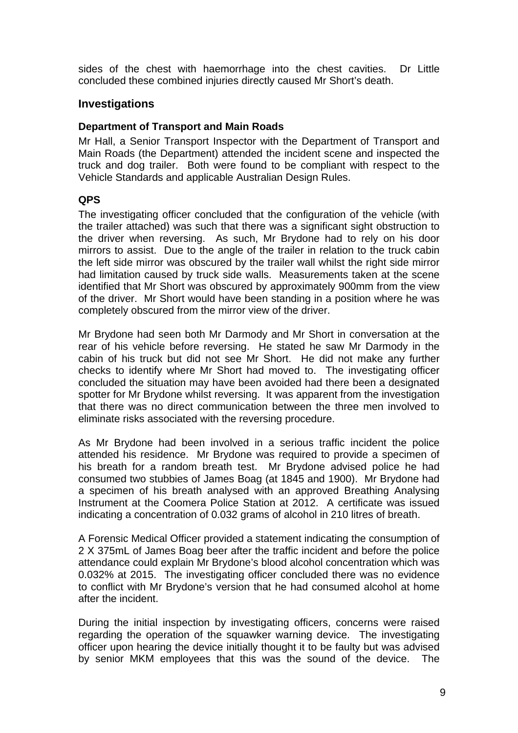sides of the chest with haemorrhage into the chest cavities. Dr Little concluded these combined injuries directly caused Mr Short's death.

#### **Investigations**

#### **Department of Transport and Main Roads**

Mr Hall, a Senior Transport Inspector with the Department of Transport and Main Roads (the Department) attended the incident scene and inspected the truck and dog trailer. Both were found to be compliant with respect to the Vehicle Standards and applicable Australian Design Rules.

#### **QPS**

The investigating officer concluded that the configuration of the vehicle (with the trailer attached) was such that there was a significant sight obstruction to the driver when reversing. As such, Mr Brydone had to rely on his door mirrors to assist. Due to the angle of the trailer in relation to the truck cabin the left side mirror was obscured by the trailer wall whilst the right side mirror had limitation caused by truck side walls. Measurements taken at the scene identified that Mr Short was obscured by approximately 900mm from the view of the driver. Mr Short would have been standing in a position where he was completely obscured from the mirror view of the driver.

Mr Brydone had seen both Mr Darmody and Mr Short in conversation at the rear of his vehicle before reversing. He stated he saw Mr Darmody in the cabin of his truck but did not see Mr Short. He did not make any further checks to identify where Mr Short had moved to. The investigating officer concluded the situation may have been avoided had there been a designated spotter for Mr Brydone whilst reversing. It was apparent from the investigation that there was no direct communication between the three men involved to eliminate risks associated with the reversing procedure.

As Mr Brydone had been involved in a serious traffic incident the police attended his residence. Mr Brydone was required to provide a specimen of his breath for a random breath test. Mr Brydone advised police he had consumed two stubbies of James Boag (at 1845 and 1900). Mr Brydone had a specimen of his breath analysed with an approved Breathing Analysing Instrument at the Coomera Police Station at 2012. A certificate was issued indicating a concentration of 0.032 grams of alcohol in 210 litres of breath.

A Forensic Medical Officer provided a statement indicating the consumption of 2 X 375mL of James Boag beer after the traffic incident and before the police attendance could explain Mr Brydone's blood alcohol concentration which was 0.032% at 2015. The investigating officer concluded there was no evidence to conflict with Mr Brydone's version that he had consumed alcohol at home after the incident.

During the initial inspection by investigating officers, concerns were raised regarding the operation of the squawker warning device. The investigating officer upon hearing the device initially thought it to be faulty but was advised by senior MKM employees that this was the sound of the device. The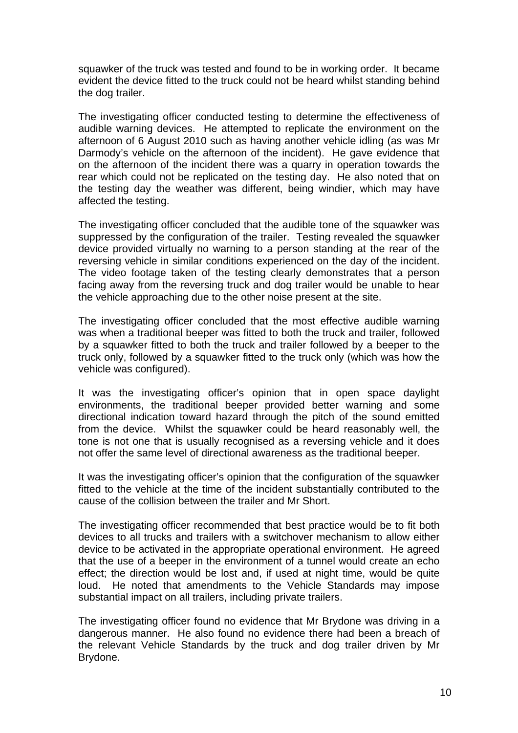squawker of the truck was tested and found to be in working order. It became evident the device fitted to the truck could not be heard whilst standing behind the dog trailer.

The investigating officer conducted testing to determine the effectiveness of audible warning devices. He attempted to replicate the environment on the afternoon of 6 August 2010 such as having another vehicle idling (as was Mr Darmody's vehicle on the afternoon of the incident). He gave evidence that on the afternoon of the incident there was a quarry in operation towards the rear which could not be replicated on the testing day. He also noted that on the testing day the weather was different, being windier, which may have affected the testing.

The investigating officer concluded that the audible tone of the squawker was suppressed by the configuration of the trailer. Testing revealed the squawker device provided virtually no warning to a person standing at the rear of the reversing vehicle in similar conditions experienced on the day of the incident. The video footage taken of the testing clearly demonstrates that a person facing away from the reversing truck and dog trailer would be unable to hear the vehicle approaching due to the other noise present at the site.

The investigating officer concluded that the most effective audible warning was when a traditional beeper was fitted to both the truck and trailer, followed by a squawker fitted to both the truck and trailer followed by a beeper to the truck only, followed by a squawker fitted to the truck only (which was how the vehicle was configured).

It was the investigating officer's opinion that in open space daylight environments, the traditional beeper provided better warning and some directional indication toward hazard through the pitch of the sound emitted from the device. Whilst the squawker could be heard reasonably well, the tone is not one that is usually recognised as a reversing vehicle and it does not offer the same level of directional awareness as the traditional beeper.

It was the investigating officer's opinion that the configuration of the squawker fitted to the vehicle at the time of the incident substantially contributed to the cause of the collision between the trailer and Mr Short.

The investigating officer recommended that best practice would be to fit both devices to all trucks and trailers with a switchover mechanism to allow either device to be activated in the appropriate operational environment. He agreed that the use of a beeper in the environment of a tunnel would create an echo effect; the direction would be lost and, if used at night time, would be quite loud. He noted that amendments to the Vehicle Standards may impose substantial impact on all trailers, including private trailers.

The investigating officer found no evidence that Mr Brydone was driving in a dangerous manner. He also found no evidence there had been a breach of the relevant Vehicle Standards by the truck and dog trailer driven by Mr Brydone.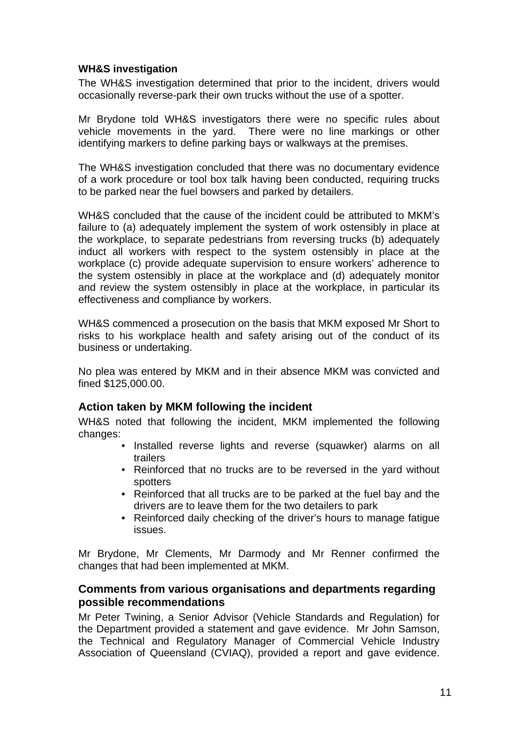#### **WH&S investigation**

The WH&S investigation determined that prior to the incident, drivers would occasionally reverse-park their own trucks without the use of a spotter.

Mr Brydone told WH&S investigators there were no specific rules about vehicle movements in the yard. There were no line markings or other identifying markers to define parking bays or walkways at the premises.

The WH&S investigation concluded that there was no documentary evidence of a work procedure or tool box talk having been conducted, requiring trucks to be parked near the fuel bowsers and parked by detailers.

WH&S concluded that the cause of the incident could be attributed to MKM's failure to (a) adequately implement the system of work ostensibly in place at the workplace, to separate pedestrians from reversing trucks (b) adequately induct all workers with respect to the system ostensibly in place at the workplace (c) provide adequate supervision to ensure workers' adherence to the system ostensibly in place at the workplace and (d) adequately monitor and review the system ostensibly in place at the workplace, in particular its effectiveness and compliance by workers.

WH&S commenced a prosecution on the basis that MKM exposed Mr Short to risks to his workplace health and safety arising out of the conduct of its business or undertaking.

No plea was entered by MKM and in their absence MKM was convicted and fined \$125,000.00.

#### **Action taken by MKM following the incident**

WH&S noted that following the incident, MKM implemented the following changes:

- Installed reverse lights and reverse (squawker) alarms on all trailers
- Reinforced that no trucks are to be reversed in the yard without spotters
- Reinforced that all trucks are to be parked at the fuel bay and the drivers are to leave them for the two detailers to park
- Reinforced daily checking of the driver's hours to manage fatigue issues.

Mr Brydone, Mr Clements, Mr Darmody and Mr Renner confirmed the changes that had been implemented at MKM.

#### **Comments from various organisations and departments regarding possible recommendations**

Mr Peter Twining, a Senior Advisor (Vehicle Standards and Regulation) for the Department provided a statement and gave evidence. Mr John Samson, the Technical and Regulatory Manager of Commercial Vehicle Industry Association of Queensland (CVIAQ), provided a report and gave evidence.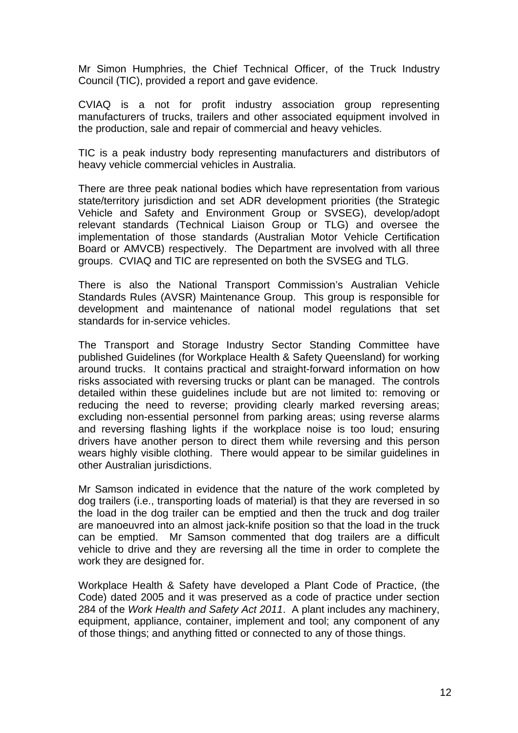Mr Simon Humphries, the Chief Technical Officer, of the Truck Industry Council (TIC), provided a report and gave evidence.

CVIAQ is a not for profit industry association group representing manufacturers of trucks, trailers and other associated equipment involved in the production, sale and repair of commercial and heavy vehicles.

TIC is a peak industry body representing manufacturers and distributors of heavy vehicle commercial vehicles in Australia.

There are three peak national bodies which have representation from various state/territory jurisdiction and set ADR development priorities (the Strategic Vehicle and Safety and Environment Group or SVSEG), develop/adopt relevant standards (Technical Liaison Group or TLG) and oversee the implementation of those standards (Australian Motor Vehicle Certification Board or AMVCB) respectively. The Department are involved with all three groups. CVIAQ and TIC are represented on both the SVSEG and TLG.

There is also the National Transport Commission's Australian Vehicle Standards Rules (AVSR) Maintenance Group. This group is responsible for development and maintenance of national model regulations that set standards for in-service vehicles.

The Transport and Storage Industry Sector Standing Committee have published Guidelines (for Workplace Health & Safety Queensland) for working around trucks. It contains practical and straight-forward information on how risks associated with reversing trucks or plant can be managed. The controls detailed within these guidelines include but are not limited to: removing or reducing the need to reverse; providing clearly marked reversing areas; excluding non-essential personnel from parking areas; using reverse alarms and reversing flashing lights if the workplace noise is too loud; ensuring drivers have another person to direct them while reversing and this person wears highly visible clothing. There would appear to be similar guidelines in other Australian jurisdictions.

Mr Samson indicated in evidence that the nature of the work completed by dog trailers (i.e., transporting loads of material) is that they are reversed in so the load in the dog trailer can be emptied and then the truck and dog trailer are manoeuvred into an almost jack-knife position so that the load in the truck can be emptied. Mr Samson commented that dog trailers are a difficult vehicle to drive and they are reversing all the time in order to complete the work they are designed for.

Workplace Health & Safety have developed a Plant Code of Practice, (the Code) dated 2005 and it was preserved as a code of practice under section 284 of the *Work Health and Safety Act 2011*. A plant includes any machinery, equipment, appliance, container, implement and tool; any component of any of those things; and anything fitted or connected to any of those things.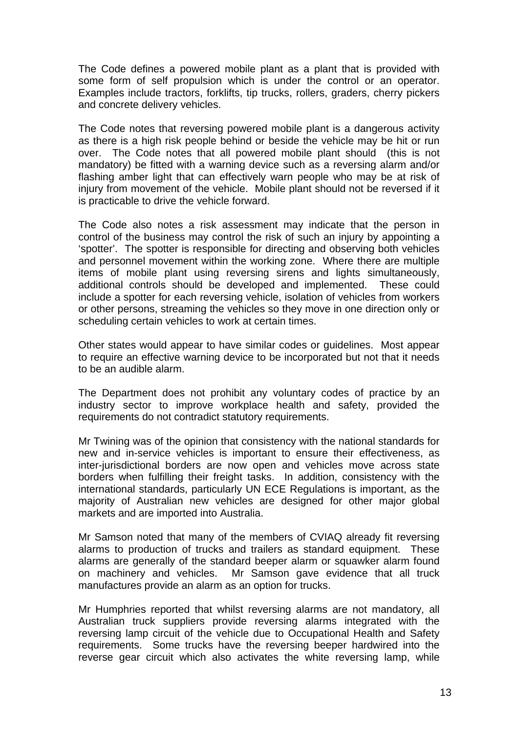The Code defines a powered mobile plant as a plant that is provided with some form of self propulsion which is under the control or an operator. Examples include tractors, forklifts, tip trucks, rollers, graders, cherry pickers and concrete delivery vehicles.

The Code notes that reversing powered mobile plant is a dangerous activity as there is a high risk people behind or beside the vehicle may be hit or run over. The Code notes that all powered mobile plant should (this is not mandatory) be fitted with a warning device such as a reversing alarm and/or flashing amber light that can effectively warn people who may be at risk of injury from movement of the vehicle. Mobile plant should not be reversed if it is practicable to drive the vehicle forward.

The Code also notes a risk assessment may indicate that the person in control of the business may control the risk of such an injury by appointing a 'spotter'. The spotter is responsible for directing and observing both vehicles and personnel movement within the working zone. Where there are multiple items of mobile plant using reversing sirens and lights simultaneously, additional controls should be developed and implemented. These could include a spotter for each reversing vehicle, isolation of vehicles from workers or other persons, streaming the vehicles so they move in one direction only or scheduling certain vehicles to work at certain times.

Other states would appear to have similar codes or guidelines. Most appear to require an effective warning device to be incorporated but not that it needs to be an audible alarm.

The Department does not prohibit any voluntary codes of practice by an industry sector to improve workplace health and safety, provided the requirements do not contradict statutory requirements.

Mr Twining was of the opinion that consistency with the national standards for new and in-service vehicles is important to ensure their effectiveness, as inter-jurisdictional borders are now open and vehicles move across state borders when fulfilling their freight tasks. In addition, consistency with the international standards, particularly UN ECE Regulations is important, as the majority of Australian new vehicles are designed for other major global markets and are imported into Australia.

Mr Samson noted that many of the members of CVIAQ already fit reversing alarms to production of trucks and trailers as standard equipment. These alarms are generally of the standard beeper alarm or squawker alarm found on machinery and vehicles. Mr Samson gave evidence that all truck manufactures provide an alarm as an option for trucks.

Mr Humphries reported that whilst reversing alarms are not mandatory, all Australian truck suppliers provide reversing alarms integrated with the reversing lamp circuit of the vehicle due to Occupational Health and Safety requirements. Some trucks have the reversing beeper hardwired into the reverse gear circuit which also activates the white reversing lamp, while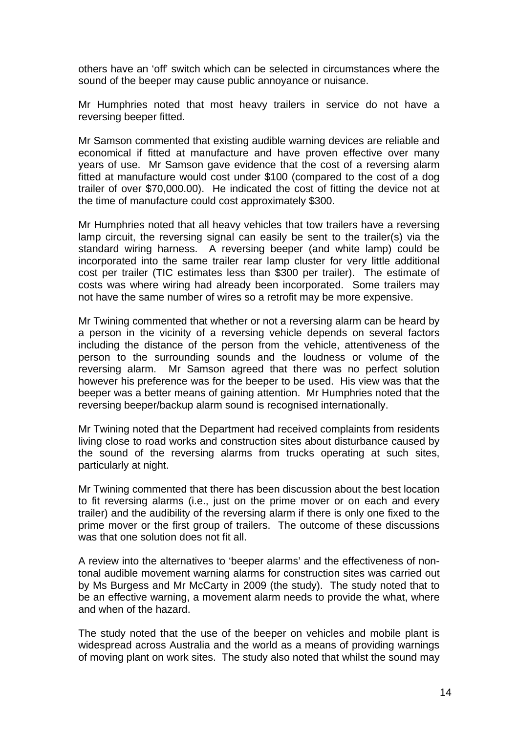others have an 'off' switch which can be selected in circumstances where the sound of the beeper may cause public annoyance or nuisance.

Mr Humphries noted that most heavy trailers in service do not have a reversing beeper fitted.

Mr Samson commented that existing audible warning devices are reliable and economical if fitted at manufacture and have proven effective over many years of use. Mr Samson gave evidence that the cost of a reversing alarm fitted at manufacture would cost under \$100 (compared to the cost of a dog trailer of over \$70,000.00). He indicated the cost of fitting the device not at the time of manufacture could cost approximately \$300.

Mr Humphries noted that all heavy vehicles that tow trailers have a reversing lamp circuit, the reversing signal can easily be sent to the trailer(s) via the standard wiring harness. A reversing beeper (and white lamp) could be incorporated into the same trailer rear lamp cluster for very little additional cost per trailer (TIC estimates less than \$300 per trailer). The estimate of costs was where wiring had already been incorporated. Some trailers may not have the same number of wires so a retrofit may be more expensive.

Mr Twining commented that whether or not a reversing alarm can be heard by a person in the vicinity of a reversing vehicle depends on several factors including the distance of the person from the vehicle, attentiveness of the person to the surrounding sounds and the loudness or volume of the reversing alarm. Mr Samson agreed that there was no perfect solution however his preference was for the beeper to be used. His view was that the beeper was a better means of gaining attention. Mr Humphries noted that the reversing beeper/backup alarm sound is recognised internationally.

Mr Twining noted that the Department had received complaints from residents living close to road works and construction sites about disturbance caused by the sound of the reversing alarms from trucks operating at such sites, particularly at night.

Mr Twining commented that there has been discussion about the best location to fit reversing alarms (i.e., just on the prime mover or on each and every trailer) and the audibility of the reversing alarm if there is only one fixed to the prime mover or the first group of trailers. The outcome of these discussions was that one solution does not fit all.

A review into the alternatives to 'beeper alarms' and the effectiveness of nontonal audible movement warning alarms for construction sites was carried out by Ms Burgess and Mr McCarty in 2009 (the study). The study noted that to be an effective warning, a movement alarm needs to provide the what, where and when of the hazard.

The study noted that the use of the beeper on vehicles and mobile plant is widespread across Australia and the world as a means of providing warnings of moving plant on work sites. The study also noted that whilst the sound may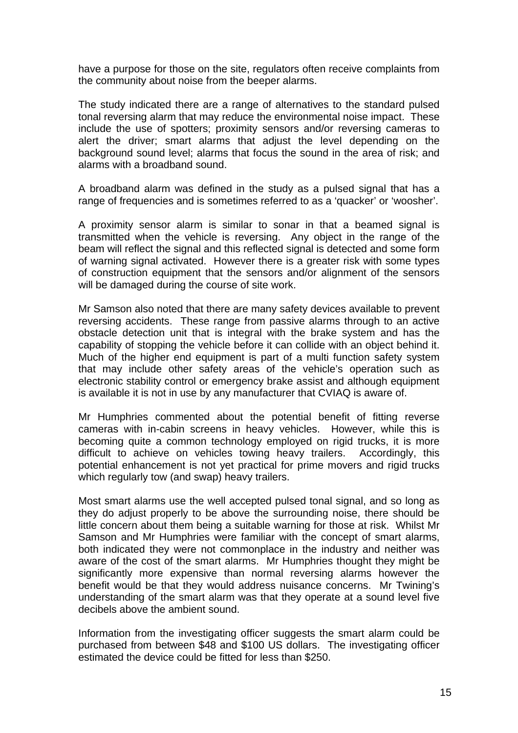have a purpose for those on the site, regulators often receive complaints from the community about noise from the beeper alarms.

The study indicated there are a range of alternatives to the standard pulsed tonal reversing alarm that may reduce the environmental noise impact. These include the use of spotters; proximity sensors and/or reversing cameras to alert the driver; smart alarms that adjust the level depending on the background sound level; alarms that focus the sound in the area of risk; and alarms with a broadband sound.

A broadband alarm was defined in the study as a pulsed signal that has a range of frequencies and is sometimes referred to as a 'quacker' or 'woosher'.

A proximity sensor alarm is similar to sonar in that a beamed signal is transmitted when the vehicle is reversing. Any object in the range of the beam will reflect the signal and this reflected signal is detected and some form of warning signal activated. However there is a greater risk with some types of construction equipment that the sensors and/or alignment of the sensors will be damaged during the course of site work.

Mr Samson also noted that there are many safety devices available to prevent reversing accidents. These range from passive alarms through to an active obstacle detection unit that is integral with the brake system and has the capability of stopping the vehicle before it can collide with an object behind it. Much of the higher end equipment is part of a multi function safety system that may include other safety areas of the vehicle's operation such as electronic stability control or emergency brake assist and although equipment is available it is not in use by any manufacturer that CVIAQ is aware of.

Mr Humphries commented about the potential benefit of fitting reverse cameras with in-cabin screens in heavy vehicles. However, while this is becoming quite a common technology employed on rigid trucks, it is more difficult to achieve on vehicles towing heavy trailers. Accordingly, this potential enhancement is not yet practical for prime movers and rigid trucks which regularly tow (and swap) heavy trailers.

Most smart alarms use the well accepted pulsed tonal signal, and so long as they do adjust properly to be above the surrounding noise, there should be little concern about them being a suitable warning for those at risk. Whilst Mr Samson and Mr Humphries were familiar with the concept of smart alarms, both indicated they were not commonplace in the industry and neither was aware of the cost of the smart alarms. Mr Humphries thought they might be significantly more expensive than normal reversing alarms however the benefit would be that they would address nuisance concerns. Mr Twining's understanding of the smart alarm was that they operate at a sound level five decibels above the ambient sound.

Information from the investigating officer suggests the smart alarm could be purchased from between \$48 and \$100 US dollars. The investigating officer estimated the device could be fitted for less than \$250.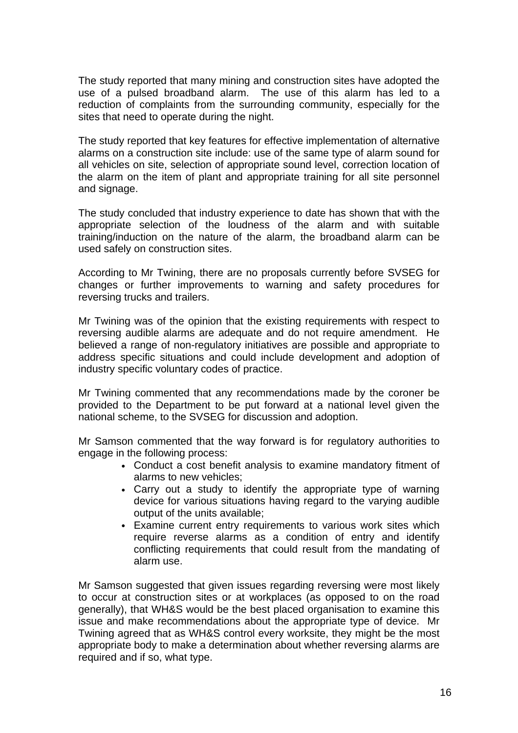The study reported that many mining and construction sites have adopted the use of a pulsed broadband alarm. The use of this alarm has led to a reduction of complaints from the surrounding community, especially for the sites that need to operate during the night.

The study reported that key features for effective implementation of alternative alarms on a construction site include: use of the same type of alarm sound for all vehicles on site, selection of appropriate sound level, correction location of the alarm on the item of plant and appropriate training for all site personnel and signage.

The study concluded that industry experience to date has shown that with the appropriate selection of the loudness of the alarm and with suitable training/induction on the nature of the alarm, the broadband alarm can be used safely on construction sites.

According to Mr Twining, there are no proposals currently before SVSEG for changes or further improvements to warning and safety procedures for reversing trucks and trailers.

Mr Twining was of the opinion that the existing requirements with respect to reversing audible alarms are adequate and do not require amendment. He believed a range of non-regulatory initiatives are possible and appropriate to address specific situations and could include development and adoption of industry specific voluntary codes of practice.

Mr Twining commented that any recommendations made by the coroner be provided to the Department to be put forward at a national level given the national scheme, to the SVSEG for discussion and adoption.

Mr Samson commented that the way forward is for regulatory authorities to engage in the following process:

- Conduct a cost benefit analysis to examine mandatory fitment of alarms to new vehicles;
- Carry out a study to identify the appropriate type of warning device for various situations having regard to the varying audible output of the units available;
- Examine current entry requirements to various work sites which require reverse alarms as a condition of entry and identify conflicting requirements that could result from the mandating of alarm use.

Mr Samson suggested that given issues regarding reversing were most likely to occur at construction sites or at workplaces (as opposed to on the road generally), that WH&S would be the best placed organisation to examine this issue and make recommendations about the appropriate type of device. Mr Twining agreed that as WH&S control every worksite, they might be the most appropriate body to make a determination about whether reversing alarms are required and if so, what type.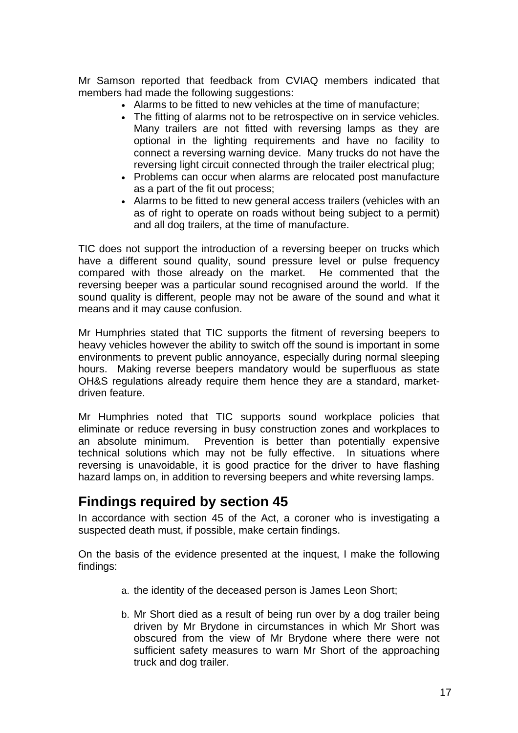Mr Samson reported that feedback from CVIAQ members indicated that members had made the following suggestions:

- Alarms to be fitted to new vehicles at the time of manufacture;
- The fitting of alarms not to be retrospective on in service vehicles. Many trailers are not fitted with reversing lamps as they are optional in the lighting requirements and have no facility to connect a reversing warning device. Many trucks do not have the reversing light circuit connected through the trailer electrical plug;
- Problems can occur when alarms are relocated post manufacture as a part of the fit out process;
- Alarms to be fitted to new general access trailers (vehicles with an as of right to operate on roads without being subject to a permit) and all dog trailers, at the time of manufacture.

TIC does not support the introduction of a reversing beeper on trucks which have a different sound quality, sound pressure level or pulse frequency compared with those already on the market. He commented that the reversing beeper was a particular sound recognised around the world. If the sound quality is different, people may not be aware of the sound and what it means and it may cause confusion.

Mr Humphries stated that TIC supports the fitment of reversing beepers to heavy vehicles however the ability to switch off the sound is important in some environments to prevent public annoyance, especially during normal sleeping hours. Making reverse beepers mandatory would be superfluous as state OH&S regulations already require them hence they are a standard, marketdriven feature.

Mr Humphries noted that TIC supports sound workplace policies that eliminate or reduce reversing in busy construction zones and workplaces to an absolute minimum. Prevention is better than potentially expensive technical solutions which may not be fully effective. In situations where reversing is unavoidable, it is good practice for the driver to have flashing hazard lamps on, in addition to reversing beepers and white reversing lamps.

# **Findings required by section 45**

In accordance with section 45 of the Act, a coroner who is investigating a suspected death must, if possible, make certain findings.

On the basis of the evidence presented at the inquest, I make the following findings:

- a. the identity of the deceased person is James Leon Short;
- b. Mr Short died as a result of being run over by a dog trailer being driven by Mr Brydone in circumstances in which Mr Short was obscured from the view of Mr Brydone where there were not sufficient safety measures to warn Mr Short of the approaching truck and dog trailer.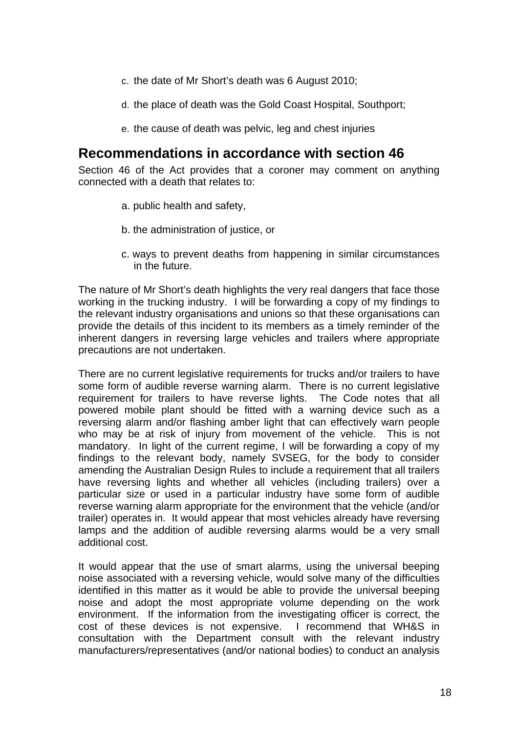- c. the date of Mr Short's death was 6 August 2010;
- d. the place of death was the Gold Coast Hospital, Southport;
- e. the cause of death was pelvic, leg and chest injuries

# **Recommendations in accordance with section 46**

Section 46 of the Act provides that a coroner may comment on anything connected with a death that relates to:

- a. public health and safety,
- b. the administration of justice, or
- c. ways to prevent deaths from happening in similar circumstances in the future.

The nature of Mr Short's death highlights the very real dangers that face those working in the trucking industry. I will be forwarding a copy of my findings to the relevant industry organisations and unions so that these organisations can provide the details of this incident to its members as a timely reminder of the inherent dangers in reversing large vehicles and trailers where appropriate precautions are not undertaken.

There are no current legislative requirements for trucks and/or trailers to have some form of audible reverse warning alarm. There is no current legislative requirement for trailers to have reverse lights. The Code notes that all powered mobile plant should be fitted with a warning device such as a reversing alarm and/or flashing amber light that can effectively warn people who may be at risk of injury from movement of the vehicle. This is not mandatory. In light of the current regime, I will be forwarding a copy of my findings to the relevant body, namely SVSEG, for the body to consider amending the Australian Design Rules to include a requirement that all trailers have reversing lights and whether all vehicles (including trailers) over a particular size or used in a particular industry have some form of audible reverse warning alarm appropriate for the environment that the vehicle (and/or trailer) operates in. It would appear that most vehicles already have reversing lamps and the addition of audible reversing alarms would be a very small additional cost.

It would appear that the use of smart alarms, using the universal beeping noise associated with a reversing vehicle, would solve many of the difficulties identified in this matter as it would be able to provide the universal beeping noise and adopt the most appropriate volume depending on the work environment. If the information from the investigating officer is correct, the cost of these devices is not expensive. I recommend that WH&S in consultation with the Department consult with the relevant industry manufacturers/representatives (and/or national bodies) to conduct an analysis